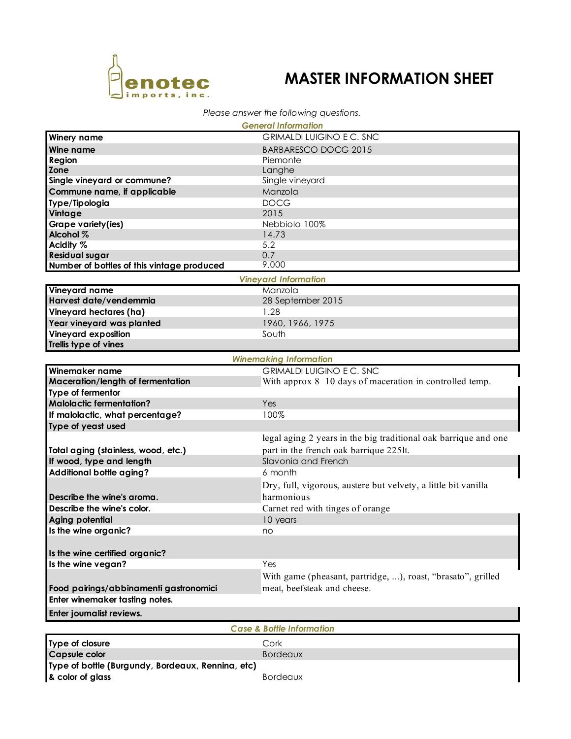

# **MASTER INFORMATION SHEET**

### *Please answer the following questions.*

|                                                   | <b>General Information</b>                                      |  |  |  |
|---------------------------------------------------|-----------------------------------------------------------------|--|--|--|
| <b>Winery name</b>                                | <b>GRIMALDI LUIGINO E C. SNC</b>                                |  |  |  |
| Wine name                                         | <b>BARBARESCO DOCG 2015</b>                                     |  |  |  |
| Region                                            | Piemonte                                                        |  |  |  |
| Zone                                              | Langhe                                                          |  |  |  |
| Single vineyard or commune?                       | Single vineyard                                                 |  |  |  |
| Commune name, if applicable                       | Manzola                                                         |  |  |  |
| Type/Tipologia                                    | <b>DOCG</b>                                                     |  |  |  |
| Vintage                                           | 2015                                                            |  |  |  |
| Grape variety(ies)                                | Nebbiolo 100%                                                   |  |  |  |
| Alcohol %                                         | 14.73                                                           |  |  |  |
| Acidity %                                         | 5.2                                                             |  |  |  |
| <b>Residual sugar</b>                             | 0.7                                                             |  |  |  |
| Number of bottles of this vintage produced        | 9,000                                                           |  |  |  |
|                                                   |                                                                 |  |  |  |
|                                                   | <b>Vineyard Information</b>                                     |  |  |  |
| Vineyard name                                     | Manzola                                                         |  |  |  |
| Harvest date/vendemmia                            | 28 September 2015                                               |  |  |  |
| Vineyard hectares (ha)                            | 1.28                                                            |  |  |  |
| Year vineyard was planted                         | 1960, 1966, 1975                                                |  |  |  |
| Vineyard exposition                               | South                                                           |  |  |  |
| Trellis type of vines                             |                                                                 |  |  |  |
| <b>Winemaking Information</b>                     |                                                                 |  |  |  |
| Winemaker name                                    | <b>GRIMALDI LUIGINO E C. SNC</b>                                |  |  |  |
| Maceration/length of fermentation                 | With approx 8 10 days of maceration in controlled temp.         |  |  |  |
| Type of fermentor                                 |                                                                 |  |  |  |
| <b>Malolactic fermentation?</b>                   | Yes                                                             |  |  |  |
| If malolactic, what percentage?                   | 100%                                                            |  |  |  |
| Type of yeast used                                |                                                                 |  |  |  |
|                                                   | legal aging 2 years in the big traditional oak barrique and one |  |  |  |
|                                                   |                                                                 |  |  |  |
| Total aging (stainless, wood, etc.)               | part in the french oak barrique 225lt.                          |  |  |  |
| If wood, type and length                          | Slavonia and French                                             |  |  |  |
| Additional bottle aging?                          | 6 month                                                         |  |  |  |
|                                                   | Dry, full, vigorous, austere but velvety, a little bit vanilla  |  |  |  |
| Describe the wine's aroma.                        | harmonious                                                      |  |  |  |
| Describe the wine's color.                        | Carnet red with tinges of orange                                |  |  |  |
| Aging potential                                   | 10 years                                                        |  |  |  |
| Is the wine organic?                              | no                                                              |  |  |  |
|                                                   |                                                                 |  |  |  |
| Is the wine certified organic?                    |                                                                 |  |  |  |
| Is the wine vegan?                                | Yes                                                             |  |  |  |
|                                                   | With game (pheasant, partridge, ), roast, "brasato", grilled    |  |  |  |
|                                                   | meat, beefsteak and cheese.                                     |  |  |  |
| Food pairings/abbinamenti gastronomici            |                                                                 |  |  |  |
| Enter winemaker tasting notes.                    |                                                                 |  |  |  |
| Enter journalist reviews.                         |                                                                 |  |  |  |
| <b>Case &amp; Bottle Information</b>              |                                                                 |  |  |  |
| Type of closure                                   | Cork                                                            |  |  |  |
| <b>Capsule color</b>                              |                                                                 |  |  |  |
|                                                   | <b>Bordeaux</b>                                                 |  |  |  |
| Type of bottle (Burgundy, Bordeaux, Rennina, etc) |                                                                 |  |  |  |
| & color of glass                                  | <b>Bordeaux</b>                                                 |  |  |  |